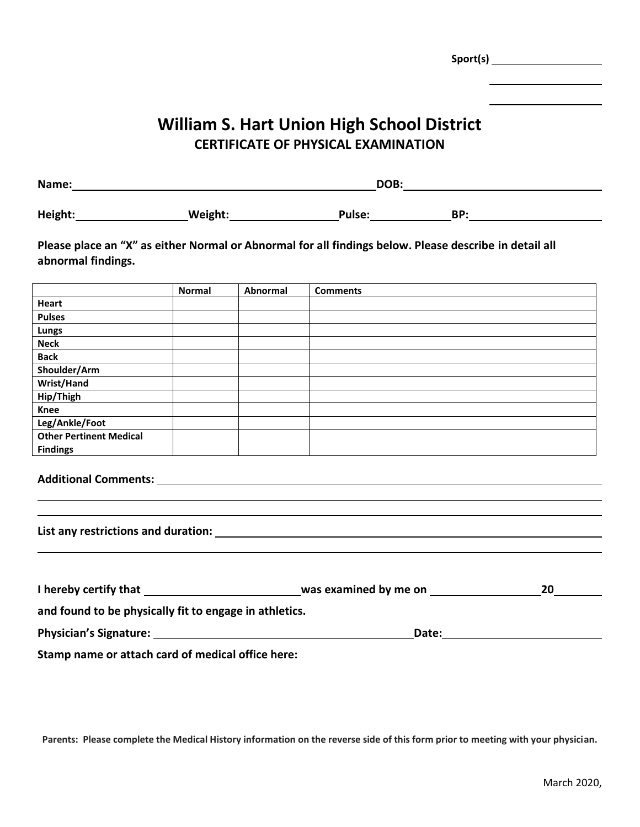**Sport(s) William S. Hart Union High School District CERTIFICATE OF PHYSICAL EXAMINATION Name: DOB: Height: Weight: Pulse: BP: Please place an "X" as either Normal or Abnormal for all findings below. Please describe in detail all** 

|                                | <b>Normal</b> | Abnormal | <b>Comments</b> |
|--------------------------------|---------------|----------|-----------------|
| Heart                          |               |          |                 |
| <b>Pulses</b>                  |               |          |                 |
| <b>Lungs</b>                   |               |          |                 |
| <b>Neck</b>                    |               |          |                 |
| <b>Back</b>                    |               |          |                 |
| Shoulder/Arm                   |               |          |                 |
| Wrist/Hand                     |               |          |                 |
| Hip/Thigh                      |               |          |                 |
| Knee                           |               |          |                 |
| Leg/Ankle/Foot                 |               |          |                 |
| <b>Other Pertinent Medical</b> |               |          |                 |
| <b>Findings</b>                |               |          |                 |

|  | <b>Additional Comments:</b> |  |
|--|-----------------------------|--|
|  |                             |  |

**abnormal findings.**

**List any restrictions and duration:** 

| I hereby certify that                                       | was examined by me on | 20 |
|-------------------------------------------------------------|-----------------------|----|
| and found to be physically fit to engage in athletics.      |                       |    |
| <b>Physician's Signature:</b>                               | Date:                 |    |
| Chance is an a state that all the state of the latter hands |                       |    |

**Stamp name or attach card of medical office here:**

**Parents: Please complete the Medical History information on the reverse side of this form prior to meeting with your physician.**